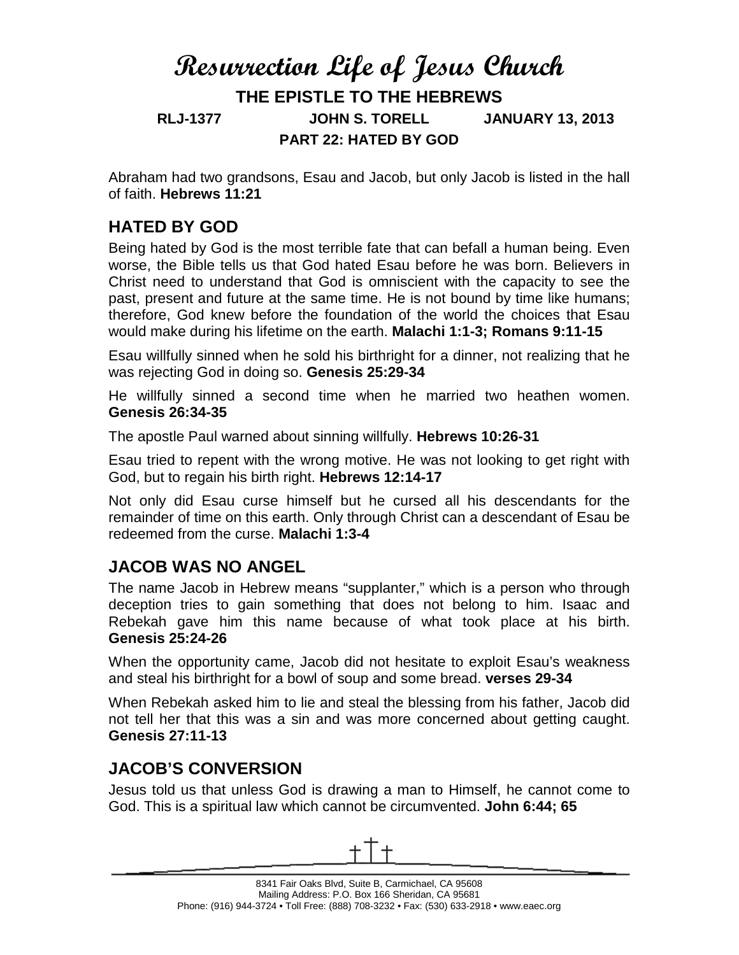# **Resurrection Life of Jesus Church THE EPISTLE TO THE HEBREWS RLJ-1377 JOHN S. TORELL JANUARY 13, 2013 PART 22: HATED BY GOD**

Abraham had two grandsons, Esau and Jacob, but only Jacob is listed in the hall of faith. **Hebrews 11:21**

## **HATED BY GOD**

Being hated by God is the most terrible fate that can befall a human being. Even worse, the Bible tells us that God hated Esau before he was born. Believers in Christ need to understand that God is omniscient with the capacity to see the past, present and future at the same time. He is not bound by time like humans; therefore, God knew before the foundation of the world the choices that Esau would make during his lifetime on the earth. **Malachi 1:1-3; Romans 9:11-15** 

Esau willfully sinned when he sold his birthright for a dinner, not realizing that he was rejecting God in doing so. **Genesis 25:29-34**

He willfully sinned a second time when he married two heathen women. **Genesis 26:34-35**

The apostle Paul warned about sinning willfully. **Hebrews 10:26-31**

Esau tried to repent with the wrong motive. He was not looking to get right with God, but to regain his birth right. **Hebrews 12:14-17**

Not only did Esau curse himself but he cursed all his descendants for the remainder of time on this earth. Only through Christ can a descendant of Esau be redeemed from the curse. **Malachi 1:3-4**

### **JACOB WAS NO ANGEL**

The name Jacob in Hebrew means "supplanter," which is a person who through deception tries to gain something that does not belong to him. Isaac and Rebekah gave him this name because of what took place at his birth. **Genesis 25:24-26**

When the opportunity came, Jacob did not hesitate to exploit Esau's weakness and steal his birthright for a bowl of soup and some bread. **verses 29-34**

When Rebekah asked him to lie and steal the blessing from his father, Jacob did not tell her that this was a sin and was more concerned about getting caught. **Genesis 27:11-13**

### **JACOB'S CONVERSION**

Jesus told us that unless God is drawing a man to Himself, he cannot come to God. This is a spiritual law which cannot be circumvented. **John 6:44; 65**